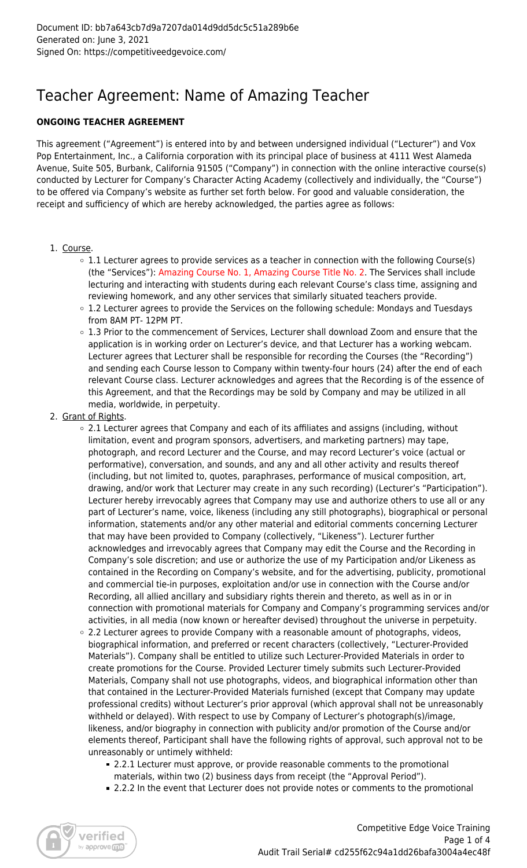## Teacher Agreement: Name of Amazing Teacher

## **ONGOING TEACHER AGREEMENT**

This agreement ("Agreement") is entered into by and between undersigned individual ("Lecturer") and Vox Pop Entertainment, Inc., a California corporation with its principal place of business at 4111 West Alameda Avenue, Suite 505, Burbank, California 91505 ("Company") in connection with the online interactive course(s) conducted by Lecturer for Company's Character Acting Academy (collectively and individually, the "Course") to be offered via Company's website as further set forth below. For good and valuable consideration, the receipt and sufficiency of which are hereby acknowledged, the parties agree as follows:

- 1. Course.
	- $\circ$  1.1 Lecturer agrees to provide services as a teacher in connection with the following Course(s) (the "Services"): Amazing Course No. 1, Amazing Course Title No. 2. The Services shall include lecturing and interacting with students during each relevant Course's class time, assigning and reviewing homework, and any other services that similarly situated teachers provide.
	- 1.2 Lecturer agrees to provide the Services on the following schedule: Mondays and Tuesdays from 8AM PT- 12PM PT.
	- 1.3 Prior to the commencement of Services, Lecturer shall download Zoom and ensure that the application is in working order on Lecturer's device, and that Lecturer has a working webcam. Lecturer agrees that Lecturer shall be responsible for recording the Courses (the "Recording") and sending each Course lesson to Company within twenty-four hours (24) after the end of each relevant Course class. Lecturer acknowledges and agrees that the Recording is of the essence of this Agreement, and that the Recordings may be sold by Company and may be utilized in all media, worldwide, in perpetuity.
- 2. Grant of Rights.
	- 2.1 Lecturer agrees that Company and each of its affiliates and assigns (including, without limitation, event and program sponsors, advertisers, and marketing partners) may tape, photograph, and record Lecturer and the Course, and may record Lecturer's voice (actual or performative), conversation, and sounds, and any and all other activity and results thereof (including, but not limited to, quotes, paraphrases, performance of musical composition, art, drawing, and/or work that Lecturer may create in any such recording) (Lecturer's "Participation"). Lecturer hereby irrevocably agrees that Company may use and authorize others to use all or any part of Lecturer's name, voice, likeness (including any still photographs), biographical or personal information, statements and/or any other material and editorial comments concerning Lecturer that may have been provided to Company (collectively, "Likeness"). Lecturer further acknowledges and irrevocably agrees that Company may edit the Course and the Recording in Company's sole discretion; and use or authorize the use of my Participation and/or Likeness as contained in the Recording on Company's website, and for the advertising, publicity, promotional and commercial tie-in purposes, exploitation and/or use in connection with the Course and/or Recording, all allied ancillary and subsidiary rights therein and thereto, as well as in or in connection with promotional materials for Company and Company's programming services and/or activities, in all media (now known or hereafter devised) throughout the universe in perpetuity.
	- $\circ$  2.2 Lecturer agrees to provide Company with a reasonable amount of photographs, videos, biographical information, and preferred or recent characters (collectively, "Lecturer-Provided Materials"). Company shall be entitled to utilize such Lecturer-Provided Materials in order to create promotions for the Course. Provided Lecturer timely submits such Lecturer-Provided Materials, Company shall not use photographs, videos, and biographical information other than that contained in the Lecturer-Provided Materials furnished (except that Company may update professional credits) without Lecturer's prior approval (which approval shall not be unreasonably withheld or delayed). With respect to use by Company of Lecturer's photograph(s)/image, likeness, and/or biography in connection with publicity and/or promotion of the Course and/or elements thereof, Participant shall have the following rights of approval, such approval not to be unreasonably or untimely withheld:
		- 2.2.1 Lecturer must approve, or provide reasonable comments to the promotional materials, within two (2) business days from receipt (the "Approval Period").
		- 2.2.2 In the event that Lecturer does not provide notes or comments to the promotional

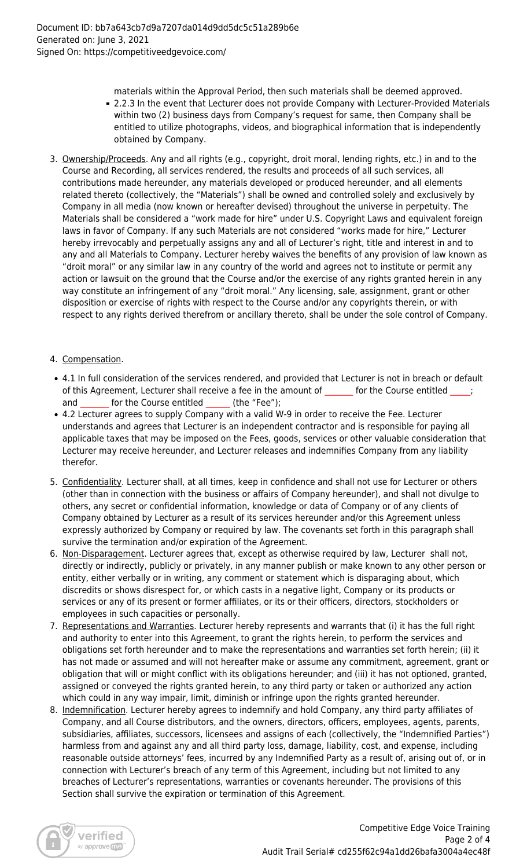- materials within the Approval Period, then such materials shall be deemed approved.
- 2.2.3 In the event that Lecturer does not provide Company with Lecturer-Provided Materials within two (2) business days from Company's request for same, then Company shall be entitled to utilize photographs, videos, and biographical information that is independently obtained by Company.
- 3. Ownership/Proceeds. Any and all rights (e.g., copyright, droit moral, lending rights, etc.) in and to the Course and Recording, all services rendered, the results and proceeds of all such services, all contributions made hereunder, any materials developed or produced hereunder, and all elements related thereto (collectively, the "Materials") shall be owned and controlled solely and exclusively by Company in all media (now known or hereafter devised) throughout the universe in perpetuity. The Materials shall be considered a "work made for hire" under U.S. Copyright Laws and equivalent foreign laws in favor of Company. If any such Materials are not considered "works made for hire," Lecturer hereby irrevocably and perpetually assigns any and all of Lecturer's right, title and interest in and to any and all Materials to Company. Lecturer hereby waives the benefits of any provision of law known as "droit moral" or any similar law in any country of the world and agrees not to institute or permit any action or lawsuit on the ground that the Course and/or the exercise of any rights granted herein in any way constitute an infringement of any "droit moral." Any licensing, sale, assignment, grant or other disposition or exercise of rights with respect to the Course and/or any copyrights therein, or with respect to any rights derived therefrom or ancillary thereto, shall be under the sole control of Company.

## 4. Compensation.

- 4.1 In full consideration of the services rendered, and provided that Lecturer is not in breach or default of this Agreement, Lecturer shall receive a fee in the amount of \_\_\_\_\_\_ for the Course entitled \_ and for the Course entitled (the "Fee");
- 4.2 Lecturer agrees to supply Company with a valid W-9 in order to receive the Fee. Lecturer understands and agrees that Lecturer is an independent contractor and is responsible for paying all applicable taxes that may be imposed on the Fees, goods, services or other valuable consideration that Lecturer may receive hereunder, and Lecturer releases and indemnifies Company from any liability therefor.
- 5. Confidentiality. Lecturer shall, at all times, keep in confidence and shall not use for Lecturer or others (other than in connection with the business or affairs of Company hereunder), and shall not divulge to others, any secret or confidential information, knowledge or data of Company or of any clients of Company obtained by Lecturer as a result of its services hereunder and/or this Agreement unless expressly authorized by Company or required by law. The covenants set forth in this paragraph shall survive the termination and/or expiration of the Agreement.
- 6. Non-Disparagement. Lecturer agrees that, except as otherwise required by law, Lecturer shall not, directly or indirectly, publicly or privately, in any manner publish or make known to any other person or entity, either verbally or in writing, any comment or statement which is disparaging about, which discredits or shows disrespect for, or which casts in a negative light, Company or its products or services or any of its present or former affiliates, or its or their officers, directors, stockholders or employees in such capacities or personally.
- 7. Representations and Warranties. Lecturer hereby represents and warrants that (i) it has the full right and authority to enter into this Agreement, to grant the rights herein, to perform the services and obligations set forth hereunder and to make the representations and warranties set forth herein; (ii) it has not made or assumed and will not hereafter make or assume any commitment, agreement, grant or obligation that will or might conflict with its obligations hereunder; and (iii) it has not optioned, granted, assigned or conveyed the rights granted herein, to any third party or taken or authorized any action which could in any way impair, limit, diminish or infringe upon the rights granted hereunder.
- 8. Indemnification. Lecturer hereby agrees to indemnify and hold Company, any third party affiliates of Company, and all Course distributors, and the owners, directors, officers, employees, agents, parents, subsidiaries, affiliates, successors, licensees and assigns of each (collectively, the "Indemnified Parties") harmless from and against any and all third party loss, damage, liability, cost, and expense, including reasonable outside attorneys' fees, incurred by any Indemnified Party as a result of, arising out of, or in connection with Lecturer's breach of any term of this Agreement, including but not limited to any breaches of Lecturer's representations, warranties or covenants hereunder. The provisions of this Section shall survive the expiration or termination of this Agreement.

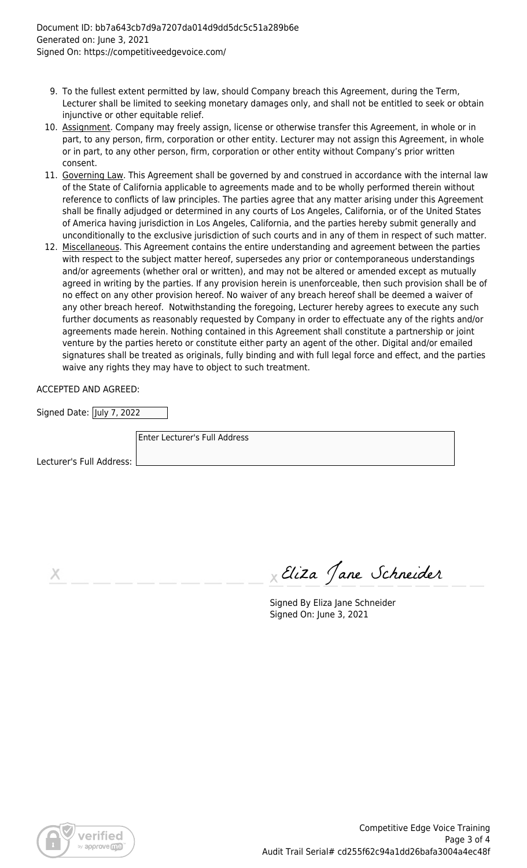- 9. To the fullest extent permitted by law, should Company breach this Agreement, during the Term, Lecturer shall be limited to seeking monetary damages only, and shall not be entitled to seek or obtain injunctive or other equitable relief.
- 10. Assignment. Company may freely assign, license or otherwise transfer this Agreement, in whole or in part, to any person, firm, corporation or other entity. Lecturer may not assign this Agreement, in whole or in part, to any other person, firm, corporation or other entity without Company's prior written consent.
- 11. Governing Law. This Agreement shall be governed by and construed in accordance with the internal law of the State of California applicable to agreements made and to be wholly performed therein without reference to conflicts of law principles. The parties agree that any matter arising under this Agreement shall be finally adjudged or determined in any courts of Los Angeles, California, or of the United States of America having jurisdiction in Los Angeles, California, and the parties hereby submit generally and unconditionally to the exclusive jurisdiction of such courts and in any of them in respect of such matter.
- 12. Miscellaneous. This Agreement contains the entire understanding and agreement between the parties with respect to the subject matter hereof, supersedes any prior or contemporaneous understandings and/or agreements (whether oral or written), and may not be altered or amended except as mutually agreed in writing by the parties. If any provision herein is unenforceable, then such provision shall be of no effect on any other provision hereof. No waiver of any breach hereof shall be deemed a waiver of any other breach hereof. Notwithstanding the foregoing, Lecturer hereby agrees to execute any such further documents as reasonably requested by Company in order to effectuate any of the rights and/or agreements made herein. Nothing contained in this Agreement shall constitute a partnership or joint venture by the parties hereto or constitute either party an agent of the other. Digital and/or emailed signatures shall be treated as originals, fully binding and with full legal force and effect, and the parties waive any rights they may have to object to such treatment.

ACCEPTED AND AGREED:

| Signed Date:  July 7, 2022 |                               |
|----------------------------|-------------------------------|
|                            | Enter Lecturer's Full Address |
| Lecturer's Full Address:   |                               |

Eliza Jane Schneider

Signed By Eliza Jane Schneider Signed On: June 3, 2021